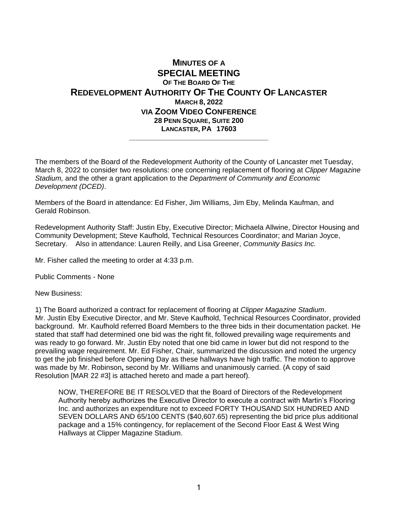## **MINUTES OF A SPECIAL MEETING OF THE BOARD OF THE REDEVELOPMENT AUTHORITY OF THE COUNTY OF LANCASTER MARCH 8, 2022 VIA ZOOM VIDEO CONFERENCE 28 PENN SQUARE, SUITE 200 LANCASTER, PA 17603 \_\_\_\_\_\_\_\_\_\_\_\_\_\_\_\_\_\_\_\_\_\_\_\_\_\_\_\_\_\_\_\_\_\_\_**

The members of the Board of the Redevelopment Authority of the County of Lancaster met Tuesday, March 8, 2022 to consider two resolutions: one concerning replacement of flooring at *Clipper Magazine Stadium,* and the other a grant application to the *Department of Community and Economic Development (DCED)*.

Members of the Board in attendance: Ed Fisher, Jim Williams, Jim Eby, Melinda Kaufman, and Gerald Robinson.

Redevelopment Authority Staff: Justin Eby, Executive Director; Michaela Allwine, Director Housing and Community Development; Steve Kaufhold, Technical Resources Coordinator; and Marian Joyce, Secretary. Also in attendance: Lauren Reilly, and Lisa Greener, *Community Basics Inc.*

Mr. Fisher called the meeting to order at 4:33 p.m.

Public Comments - None

New Business:

1) The Board authorized a contract for replacement of flooring at *Clipper Magazine Stadium*. Mr. Justin Eby Executive Director, and Mr. Steve Kaufhold, Technical Resources Coordinator, provided background. Mr. Kaufhold referred Board Members to the three bids in their documentation packet. He stated that staff had determined one bid was the right fit, followed prevailing wage requirements and was ready to go forward. Mr. Justin Eby noted that one bid came in lower but did not respond to the prevailing wage requirement. Mr. Ed Fisher, Chair, summarized the discussion and noted the urgency to get the job finished before Opening Day as these hallways have high traffic. The motion to approve was made by Mr. Robinson**,** second by Mr. Williams and unanimously carried. (A copy of said Resolution [MAR 22 #3] is attached hereto and made a part hereof).

NOW, THEREFORE BE IT RESOLVED that the Board of Directors of the Redevelopment Authority hereby authorizes the Executive Director to execute a contract with Martin's Flooring Inc. and authorizes an expenditure not to exceed FORTY THOUSAND SIX HUNDRED AND SEVEN DOLLARS AND 65/100 CENTS (\$40,607.65) representing the bid price plus additional package and a 15% contingency, for replacement of the Second Floor East & West Wing Hallways at Clipper Magazine Stadium.